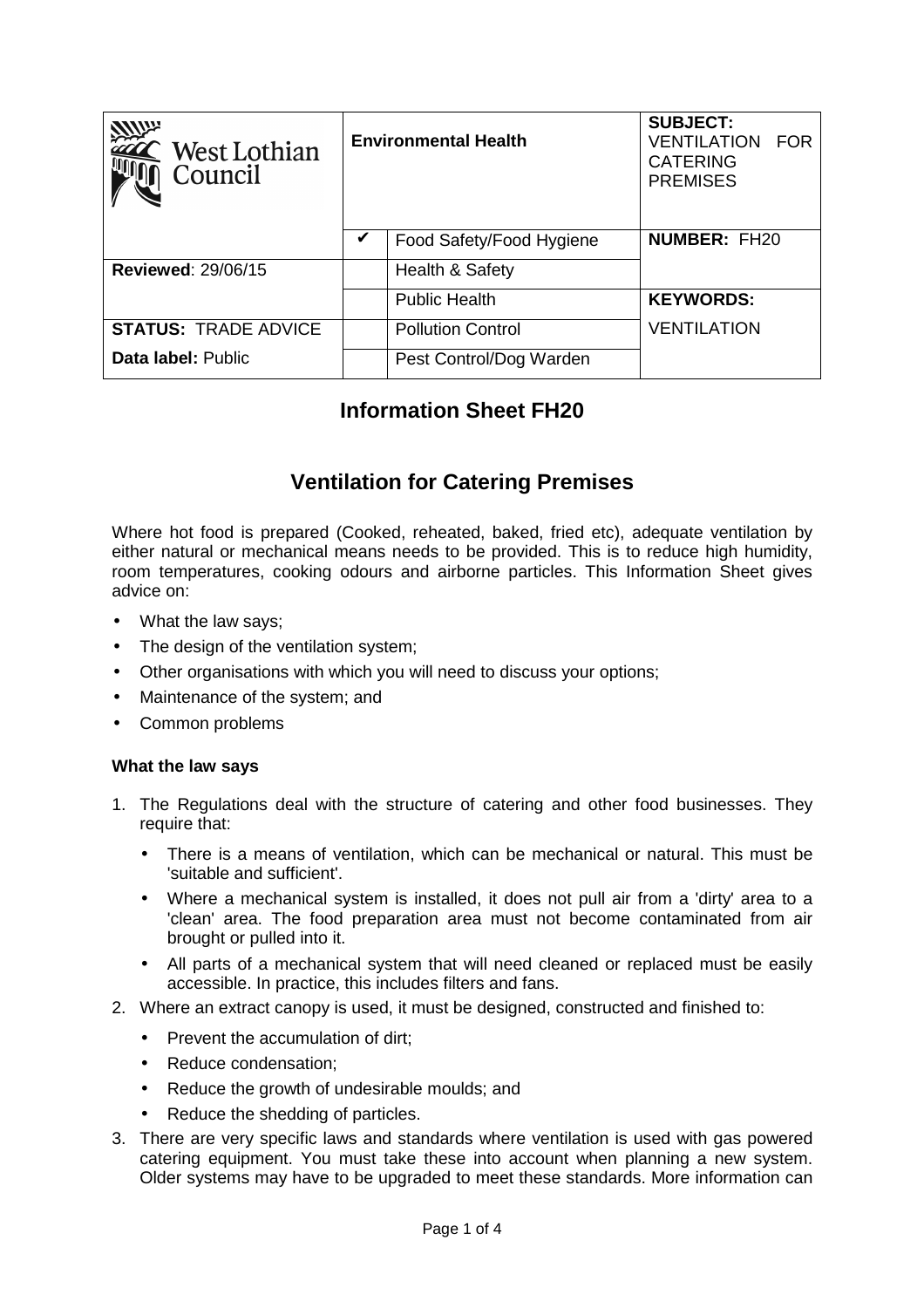| <b>Allum</b><br>.`West Lothian<br>Council | <b>Environmental Health</b> |                          | <b>SUBJECT:</b><br><b>VENTILATION</b><br><b>FOR</b><br><b>CATERING</b><br><b>PREMISES</b> |
|-------------------------------------------|-----------------------------|--------------------------|-------------------------------------------------------------------------------------------|
|                                           | V                           | Food Safety/Food Hygiene | <b>NUMBER: FH20</b>                                                                       |
| <b>Reviewed: 29/06/15</b>                 |                             | Health & Safety          |                                                                                           |
|                                           |                             | <b>Public Health</b>     | <b>KEYWORDS:</b>                                                                          |
| <b>STATUS: TRADE ADVICE</b>               |                             | <b>Pollution Control</b> | <b>VENTILATION</b>                                                                        |
| Data label: Public                        |                             | Pest Control/Dog Warden  |                                                                                           |

# **Information Sheet FH20**

# **Ventilation for Catering Premises**

Where hot food is prepared (Cooked, reheated, baked, fried etc), adequate ventilation by either natural or mechanical means needs to be provided. This is to reduce high humidity, room temperatures, cooking odours and airborne particles. This Information Sheet gives advice on:

- What the law says;
- The design of the ventilation system:
- Other organisations with which you will need to discuss your options;
- Maintenance of the system; and
- Common problems

#### **What the law says**

- 1. The Regulations deal with the structure of catering and other food businesses. They require that:
	- There is a means of ventilation, which can be mechanical or natural. This must be 'suitable and sufficient'.
	- Where a mechanical system is installed, it does not pull air from a 'dirty' area to a 'clean' area. The food preparation area must not become contaminated from air brought or pulled into it.
	- All parts of a mechanical system that will need cleaned or replaced must be easily accessible. In practice, this includes filters and fans.
- 2. Where an extract canopy is used, it must be designed, constructed and finished to:
	- Prevent the accumulation of dirt:
	- Reduce condensation;
	- Reduce the growth of undesirable moulds; and
	- Reduce the shedding of particles.
- 3. There are very specific laws and standards where ventilation is used with gas powered catering equipment. You must take these into account when planning a new system. Older systems may have to be upgraded to meet these standards. More information can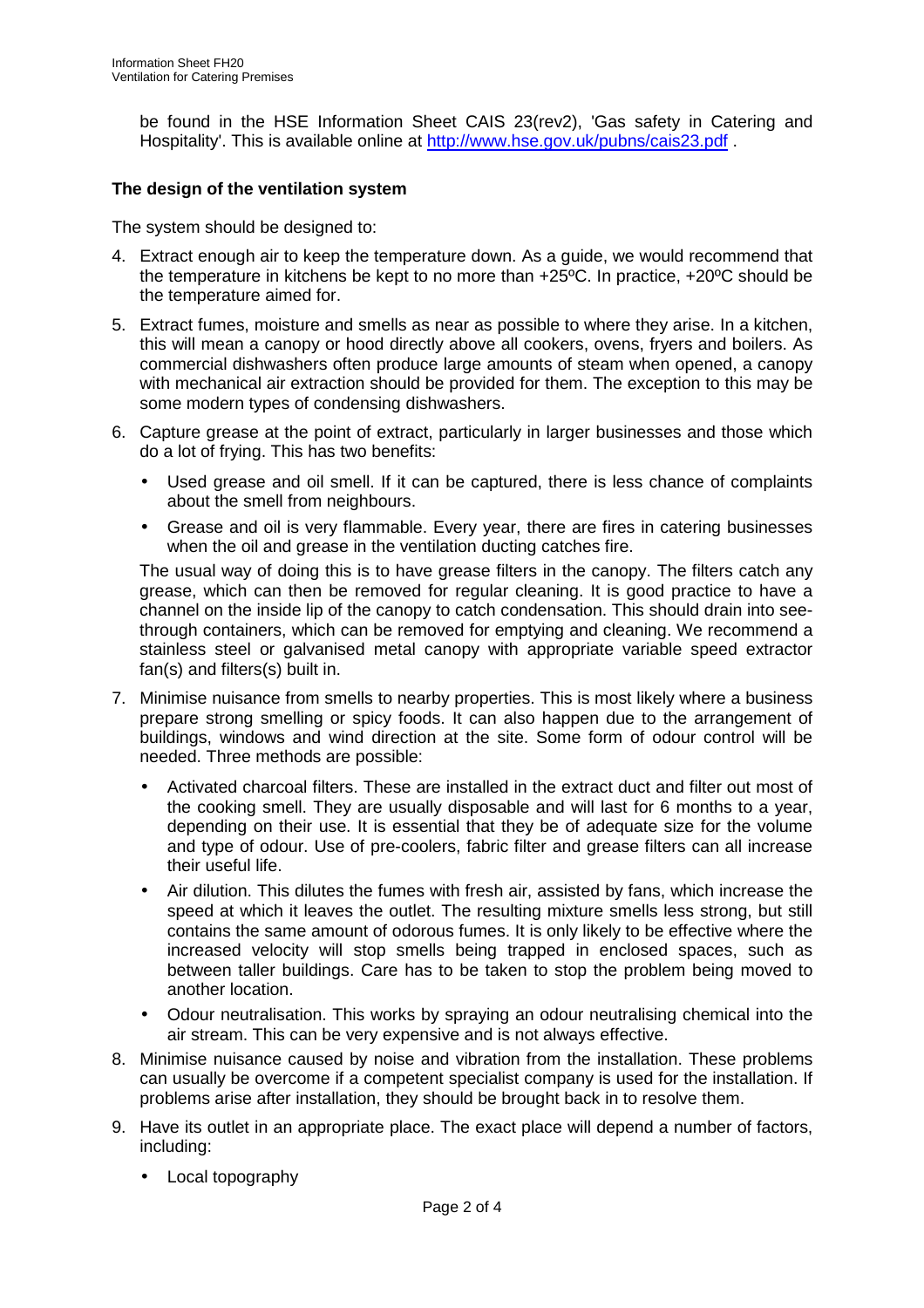be found in the HSE Information Sheet CAIS 23(rev2), 'Gas safety in Catering and Hospitality'. This is available online at http://www.hse.gov.uk/pubns/cais23.pdf .

### **The design of the ventilation system**

The system should be designed to:

- 4. Extract enough air to keep the temperature down. As a guide, we would recommend that the temperature in kitchens be kept to no more than +25ºC. In practice, +20ºC should be the temperature aimed for.
- 5. Extract fumes, moisture and smells as near as possible to where they arise. In a kitchen, this will mean a canopy or hood directly above all cookers, ovens, fryers and boilers. As commercial dishwashers often produce large amounts of steam when opened, a canopy with mechanical air extraction should be provided for them. The exception to this may be some modern types of condensing dishwashers.
- 6. Capture grease at the point of extract, particularly in larger businesses and those which do a lot of frying. This has two benefits:
	- Used grease and oil smell. If it can be captured, there is less chance of complaints about the smell from neighbours.
	- Grease and oil is very flammable. Every year, there are fires in catering businesses when the oil and grease in the ventilation ducting catches fire.

The usual way of doing this is to have grease filters in the canopy. The filters catch any grease, which can then be removed for regular cleaning. It is good practice to have a channel on the inside lip of the canopy to catch condensation. This should drain into seethrough containers, which can be removed for emptying and cleaning. We recommend a stainless steel or galvanised metal canopy with appropriate variable speed extractor fan(s) and filters(s) built in.

- 7. Minimise nuisance from smells to nearby properties. This is most likely where a business prepare strong smelling or spicy foods. It can also happen due to the arrangement of buildings, windows and wind direction at the site. Some form of odour control will be needed. Three methods are possible:
	- Activated charcoal filters. These are installed in the extract duct and filter out most of the cooking smell. They are usually disposable and will last for 6 months to a year, depending on their use. It is essential that they be of adequate size for the volume and type of odour. Use of pre-coolers, fabric filter and grease filters can all increase their useful life.
	- Air dilution. This dilutes the fumes with fresh air, assisted by fans, which increase the speed at which it leaves the outlet. The resulting mixture smells less strong, but still contains the same amount of odorous fumes. It is only likely to be effective where the increased velocity will stop smells being trapped in enclosed spaces, such as between taller buildings. Care has to be taken to stop the problem being moved to another location.
	- Odour neutralisation. This works by spraying an odour neutralising chemical into the air stream. This can be very expensive and is not always effective.
- 8. Minimise nuisance caused by noise and vibration from the installation. These problems can usually be overcome if a competent specialist company is used for the installation. If problems arise after installation, they should be brought back in to resolve them.
- 9. Have its outlet in an appropriate place. The exact place will depend a number of factors, including:
	- Local topography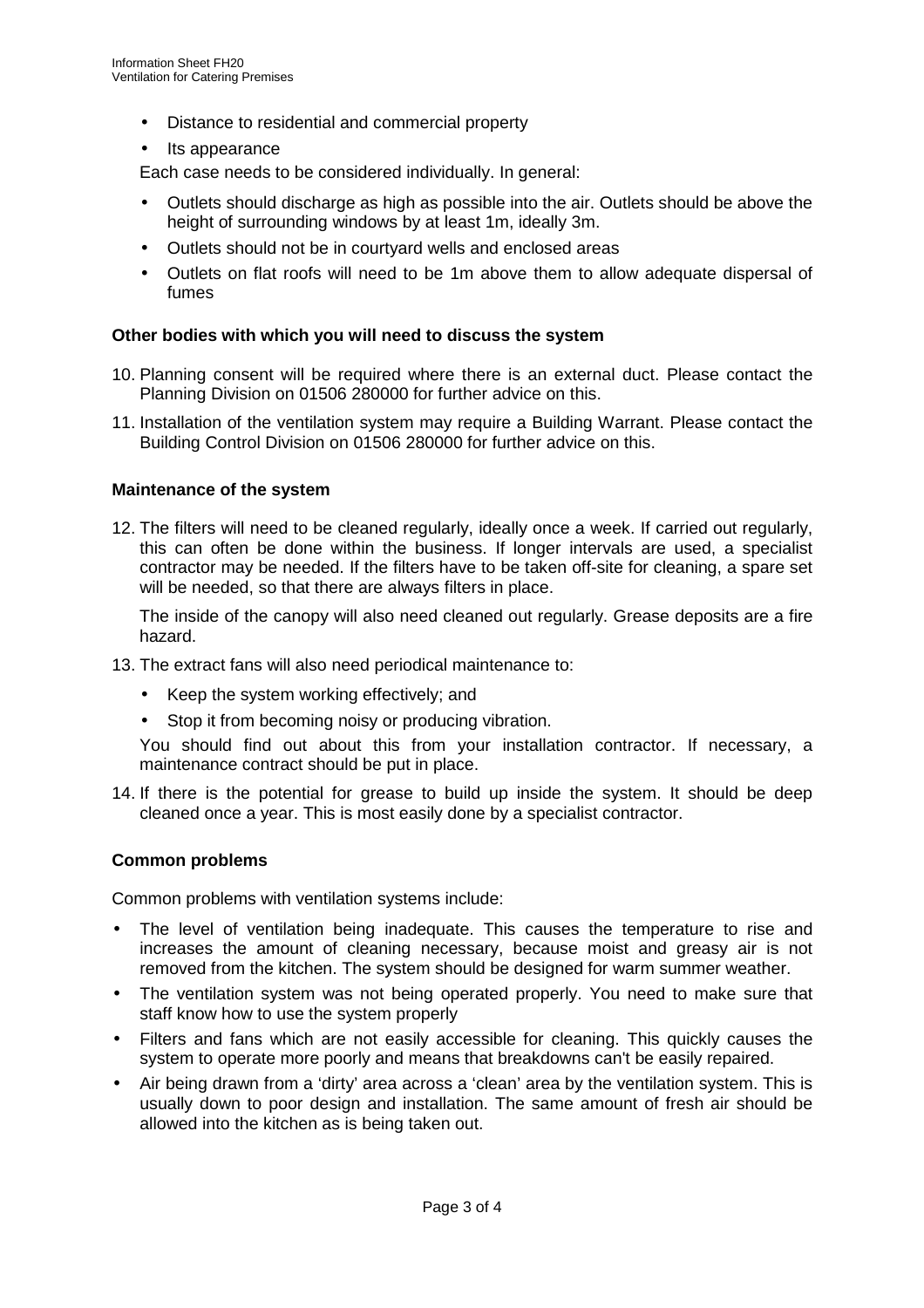- Distance to residential and commercial property
- Its appearance

Each case needs to be considered individually. In general:

- Outlets should discharge as high as possible into the air. Outlets should be above the height of surrounding windows by at least 1m, ideally 3m.
- Outlets should not be in courtyard wells and enclosed areas
- Outlets on flat roofs will need to be 1m above them to allow adequate dispersal of fumes

#### **Other bodies with which you will need to discuss the system**

- 10. Planning consent will be required where there is an external duct. Please contact the Planning Division on 01506 280000 for further advice on this.
- 11. Installation of the ventilation system may require a Building Warrant. Please contact the Building Control Division on 01506 280000 for further advice on this.

#### **Maintenance of the system**

12. The filters will need to be cleaned regularly, ideally once a week. If carried out regularly, this can often be done within the business. If longer intervals are used, a specialist contractor may be needed. If the filters have to be taken off-site for cleaning, a spare set will be needed, so that there are always filters in place.

The inside of the canopy will also need cleaned out regularly. Grease deposits are a fire hazard.

- 13. The extract fans will also need periodical maintenance to:
	- Keep the system working effectively; and
	- Stop it from becoming noisy or producing vibration.

You should find out about this from your installation contractor. If necessary, a maintenance contract should be put in place.

14. If there is the potential for grease to build up inside the system. It should be deep cleaned once a year. This is most easily done by a specialist contractor.

## **Common problems**

Common problems with ventilation systems include:

- The level of ventilation being inadequate. This causes the temperature to rise and increases the amount of cleaning necessary, because moist and greasy air is not removed from the kitchen. The system should be designed for warm summer weather.
- The ventilation system was not being operated properly. You need to make sure that staff know how to use the system properly
- Filters and fans which are not easily accessible for cleaning. This quickly causes the system to operate more poorly and means that breakdowns can't be easily repaired.
- Air being drawn from a 'dirty' area across a 'clean' area by the ventilation system. This is usually down to poor design and installation. The same amount of fresh air should be allowed into the kitchen as is being taken out.